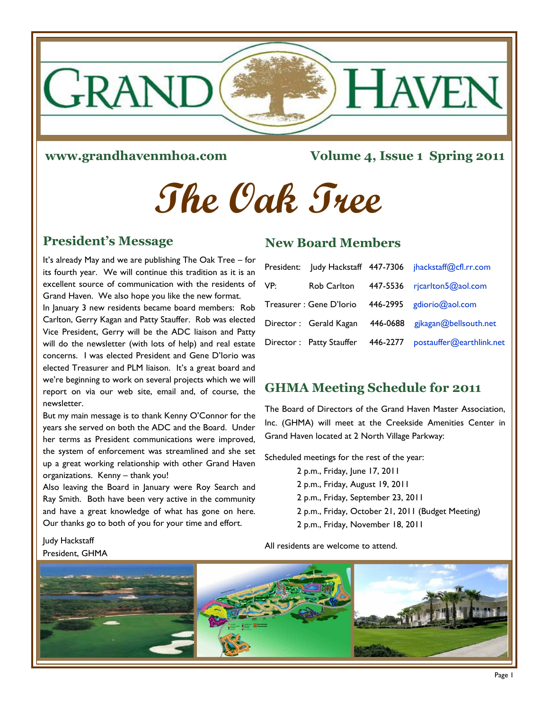

#### **www.grandhavenmhoa.com**

**Volume 4, Issue 1 Spring 2011**

# **The Oak Tree**

#### **President's Message**

It's already May and we are publishing The Oak Tree – for its fourth year. We will continue this tradition as it is an excellent source of communication with the residents of Grand Haven. We also hope you like the new format.

In January 3 new residents became board members: Rob Carlton, Gerry Kagan and Patty Stauffer. Rob was elected Vice President, Gerry will be the ADC liaison and Patty will do the newsletter (with lots of help) and real estate concerns. I was elected President and Gene D'Iorio was elected Treasurer and PLM liaison. It's a great board and we're beginning to work on several projects which we will report on via our web site, email and, of course, the newsletter.

But my main message is to thank Kenny O'Connor for the years she served on both the ADC and the Board. Under her terms as President communications were improved, the system of enforcement was streamlined and she set up a great working relationship with other Grand Haven organizations. Kenny – thank you!

Also leaving the Board in January were Roy Search and Ray Smith. Both have been very active in the community and have a great knowledge of what has gone on here. Our thanks go to both of you for your time and effort.

#### Judy Hackstaff President, GHMA

#### **New Board Members**

|     |                          |          | President: Judy Hackstaff 447-7306 jhackstaff@cfl.rr.com |
|-----|--------------------------|----------|----------------------------------------------------------|
| VP: | Rob Carlton              | 447-5536 | rjcarlton5@aol.com                                       |
|     | Treasurer : Gene D'Iorio |          | 446-2995 gdiorio@aol.com                                 |
|     | Director: Gerald Kagan   | 446-0688 | gjkagan@bellsouth.net                                    |
|     | Director: Patty Stauffer | 446-2277 | postauffer@earthlink.net                                 |

## **GHMA Meeting Schedule for 2011**

The Board of Directors of the Grand Haven Master Association, Inc. (GHMA) will meet at the Creekside Amenities Center in Grand Haven located at 2 North Village Parkway:

Scheduled meetings for the rest of the year:

 2 p.m., Friday, June 17, 2011 2 p.m., Friday, August 19, 2011 2 p.m., Friday, September 23, 2011 2 p.m., Friday, October 21, 2011 (Budget Meeting) 2 p.m., Friday, November 18, 2011

All residents are welcome to attend.

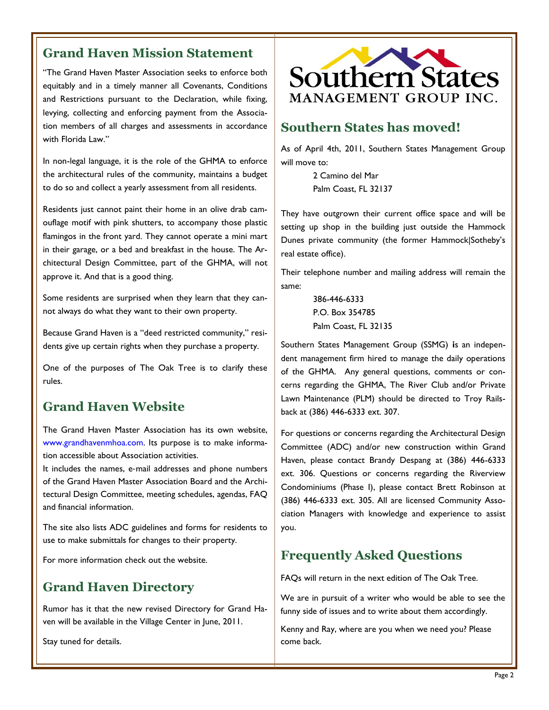# **Grand Haven Mission Statement**

"The Grand Haven Master Association seeks to enforce both equitably and in a timely manner all Covenants, Conditions and Restrictions pursuant to the Declaration, while fixing, levying, collecting and enforcing payment from the Association members of all charges and assessments in accordance with Florida Law."

In non-legal language, it is the role of the GHMA to enforce the architectural rules of the community, maintains a budget to do so and collect a yearly assessment from all residents.

Residents just cannot paint their home in an olive drab camouflage motif with pink shutters, to accompany those plastic flamingos in the front yard. They cannot operate a mini mart in their garage, or a bed and breakfast in the house. The Architectural Design Committee, part of the GHMA, will not approve it. And that is a good thing.

Some residents are surprised when they learn that they cannot always do what they want to their own property.

Because Grand Haven is a "deed restricted community," residents give up certain rights when they purchase a property.

One of the purposes of The Oak Tree is to clarify these rules.

## **Grand Haven Website**

The Grand Haven Master Association has its own website, www.grandhavenmhoa.com. Its purpose is to make information accessible about Association activities.

It includes the names, e‐mail addresses and phone numbers of the Grand Haven Master Association Board and the Architectural Design Committee, meeting schedules, agendas, FAQ and financial information.

The site also lists ADC guidelines and forms for residents to use to make submittals for changes to their property.

For more information check out the website.

## **Grand Haven Directory**

Rumor has it that the new revised Directory for Grand Haven will be available in the Village Center in June, 2011.

Stay tuned for details.



# **Southern States has moved!**

As of April 4th, 2011, Southern States Management Group will move to:

> 2 Camino del Mar Palm Coast, FL 32137

They have outgrown their current office space and will be setting up shop in the building just outside the Hammock Dunes private community (the former Hammock|Sotheby's real estate office).

Their telephone number and mailing address will remain the same:

> 386-446-6333 P.O. Box 354785 Palm Coast, FL 32135

Southern States Management Group (SSMG) **i**s an independent management firm hired to manage the daily operations of the GHMA. Any general questions, comments or concerns regarding the GHMA, The River Club and/or Private Lawn Maintenance (PLM) should be directed to Troy Railsback at (386) 446-6333 ext. 307.

For questions or concerns regarding the Architectural Design Committee (ADC) and/or new construction within Grand Haven, please contact Brandy Despang at (386) 446-6333 ext. 306. Questions or concerns regarding the Riverview Condominiums (Phase I), please contact Brett Robinson at (386) 446-6333 ext. 305. All are licensed Community Association Managers with knowledge and experience to assist you.

# **Frequently Asked Questions**

FAQs will return in the next edition of The Oak Tree.

We are in pursuit of a writer who would be able to see the funny side of issues and to write about them accordingly.

Kenny and Ray, where are you when we need you? Please come back.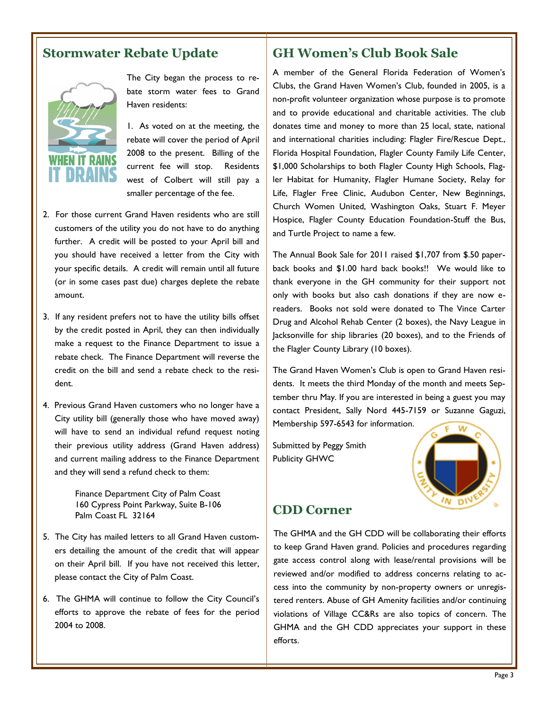# **Stormwater Rebate Update**



The City began the process to rebate storm water fees to Grand Haven residents:

1. As voted on at the meeting, the rebate will cover the period of April 2008 to the present. Billing of the current fee will stop. Residents west of Colbert will still pay a smaller percentage of the fee.

- 2. For those current Grand Haven residents who are still customers of the utility you do not have to do anything further. A credit will be posted to your April bill and you should have received a letter from the City with your specific details. A credit will remain until all future (or in some cases past due) charges deplete the rebate amount.
- 3. If any resident prefers not to have the utility bills offset by the credit posted in April, they can then individually make a request to the Finance Department to issue a rebate check. The Finance Department will reverse the credit on the bill and send a rebate check to the resident.
- 4. Previous Grand Haven customers who no longer have a City utility bill (generally those who have moved away) will have to send an individual refund request noting their previous utility address (Grand Haven address) and current mailing address to the Finance Department and they will send a refund check to them:

Finance Department City of Palm Coast 160 Cypress Point Parkway, Suite B-106 Palm Coast FL 32164

- 5. The City has mailed letters to all Grand Haven customers detailing the amount of the credit that will appear on their April bill. If you have not received this letter, please contact the City of Palm Coast.
- 6. The GHMA will continue to follow the City Council's efforts to approve the rebate of fees for the period 2004 to 2008.

#### **GH Women's Club Book Sale**

A member of the General Florida Federation of Women's Clubs, the Grand Haven Women's Club, founded in 2005, is a non-profit volunteer organization whose purpose is to promote and to provide educational and charitable activities. The club donates time and money to more than 25 local, state, national and international charities including: Flagler Fire/Rescue Dept., Florida Hospital Foundation, Flagler County Family Life Center, \$1,000 Scholarships to both Flagler County High Schools, Flagler Habitat for Humanity, Flagler Humane Society, Relay for Life, Flagler Free Clinic, Audubon Center, New Beginnings, Church Women United, Washington Oaks, Stuart F. Meyer Hospice, Flagler County Education Foundation-Stuff the Bus, and Turtle Project to name a few.

The Annual Book Sale for 2011 raised \$1,707 from \$.50 paperback books and \$1.00 hard back books!! We would like to thank everyone in the GH community for their support not only with books but also cash donations if they are now ereaders. Books not sold were donated to The Vince Carter Drug and Alcohol Rehab Center (2 boxes), the Navy League in Jacksonville for ship libraries (20 boxes), and to the Friends of the Flagler County Library (10 boxes).

The Grand Haven Women's Club is open to Grand Haven residents. It meets the third Monday of the month and meets September thru May. If you are interested in being a guest you may contact President, Sally Nord 445-7159 or Suzanne Gaguzi, Membership 597-6543 for information.

Submitted by Peggy Smith Publicity GHWC



#### **CDD Corner**

The GHMA and the GH CDD will be collaborating their efforts to keep Grand Haven grand. Policies and procedures regarding gate access control along with lease/rental provisions will be reviewed and/or modified to address concerns relating to access into the community by non-property owners or unregistered renters. Abuse of GH Amenity facilities and/or continuing violations of Village CC&Rs are also topics of concern. The GHMA and the GH CDD appreciates your support in these efforts.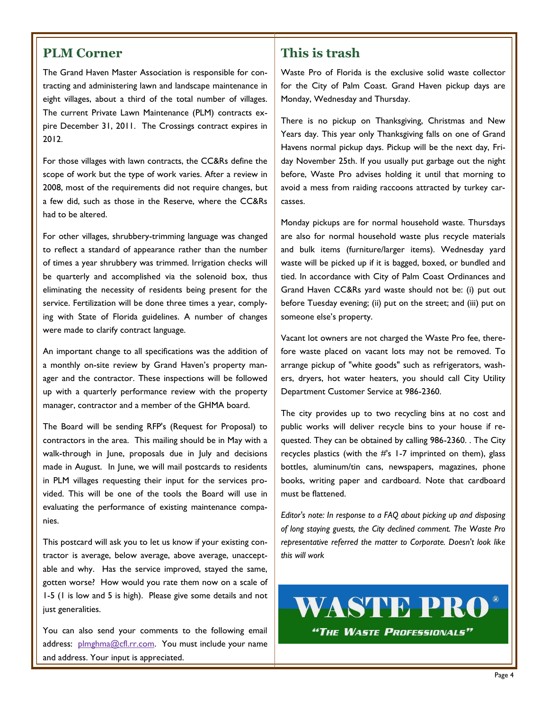#### **PLM Corner**

The Grand Haven Master Association is responsible for contracting and administering lawn and landscape maintenance in eight villages, about a third of the total number of villages. The current Private Lawn Maintenance (PLM) contracts expire December 31, 2011. The Crossings contract expires in 2012.

For those villages with lawn contracts, the CC&Rs define the scope of work but the type of work varies. After a review in 2008, most of the requirements did not require changes, but a few did, such as those in the Reserve, where the CC&Rs had to be altered.

For other villages, shrubbery-trimming language was changed to reflect a standard of appearance rather than the number of times a year shrubbery was trimmed. Irrigation checks will be quarterly and accomplished via the solenoid box, thus eliminating the necessity of residents being present for the service. Fertilization will be done three times a year, complying with State of Florida guidelines. A number of changes were made to clarify contract language.

An important change to all specifications was the addition of a monthly on-site review by Grand Haven's property manager and the contractor. These inspections will be followed up with a quarterly performance review with the property manager, contractor and a member of the GHMA board.

The Board will be sending RFP's (Request for Proposal) to contractors in the area. This mailing should be in May with a walk-through in June, proposals due in July and decisions made in August. In June, we will mail postcards to residents in PLM villages requesting their input for the services provided. This will be one of the tools the Board will use in evaluating the performance of existing maintenance companies.

This postcard will ask you to let us know if your existing contractor is average, below average, above average, unacceptable and why. Has the service improved, stayed the same, gotten worse? How would you rate them now on a scale of 1-5 (1 is low and 5 is high). Please give some details and not just generalities.

You can also send your comments to the following email address: [plmghma@cfl.rr.com.](mailto:plmghma@cfl.rr.com) You must include your name and address. Your input is appreciated.

#### **This is trash**

Waste Pro of Florida is the exclusive solid waste collector for the City of Palm Coast. Grand Haven pickup days are Monday, Wednesday and Thursday.

There is no pickup on Thanksgiving, Christmas and New Years day. This year only Thanksgiving falls on one of Grand Havens normal pickup days. Pickup will be the next day, Friday November 25th. If you usually put garbage out the night before, Waste Pro advises holding it until that morning to avoid a mess from raiding raccoons attracted by turkey carcasses.

Monday pickups are for normal household waste. Thursdays are also for normal household waste plus recycle materials and bulk items (furniture/larger items). Wednesday yard waste will be picked up if it is bagged, boxed, or bundled and tied. In accordance with City of Palm Coast Ordinances and Grand Haven CC&Rs yard waste should not be: (i) put out before Tuesday evening; (ii) put on the street; and (iii) put on someone else's property.

Vacant lot owners are not charged the Waste Pro fee, therefore waste placed on vacant lots may not be removed. To arrange pickup of "white goods" such as refrigerators, washers, dryers, hot water heaters, you should call City Utility Department Customer Service at 986-2360.

The city provides up to two recycling bins at no cost and public works will deliver recycle bins to your house if requested. They can be obtained by calling 986-2360. . The City recycles plastics (with the #'s 1-7 imprinted on them), glass bottles, aluminum/tin cans, newspapers, magazines, phone books, writing paper and cardboard. Note that cardboard must be flattened.

*Editor's note: In response to a FAQ about picking up and disposing of long staying guests, the City declined comment. The Waste Pro representative referred the matter to Corporate. Doesn't look like this will work*

**WASTE PRO** 

"THE WASTE PROFESSIONALS"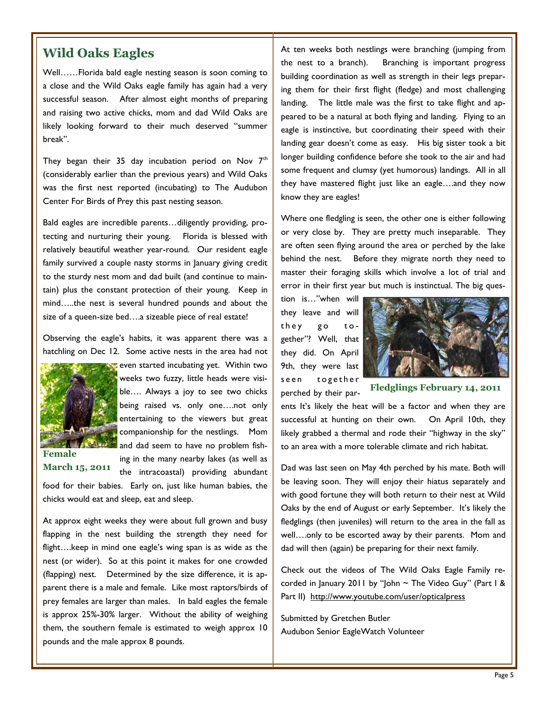Well……Florida bald eagle nesting season is soon coming to a close and the Wild Oaks eagle family has again had a very successful season. After almost eight months of preparing and raising two active chicks, mom and dad Wild Oaks are likely looking forward to their much deserved "summer break".

They began their 35 day incubation period on Nov  $7<sup>th</sup>$ (considerably earlier than the previous years) and Wild Oaks was the first nest reported (incubating) to The Audubon Center For Birds of Prey this past nesting season.

Bald eagles are incredible parents…diligently providing, protecting and nurturing their young. Florida is blessed with relatively beautiful weather year-round. Our resident eagle family survived a couple nasty storms in January giving credit to the sturdy nest mom and dad built (and continue to maintain) plus the constant protection of their young. Keep in mind…..the nest is several hundred pounds and about the size of a queen-size bed….a sizeable piece of real estate!

Observing the eagle's habits, it was apparent there was a hatchling on Dec 12. Some active nests in the area had not



even started incubating yet. Within two weeks two fuzzy, little heads were visible…. Always a joy to see two chicks being raised vs. only one….not only entertaining to the viewers but great companionship for the nestlings. Mom and dad seem to have no problem fishing in the many nearby lakes (as well as

**Female March 15, 2011**

the intracoastal) providing abundant food for their babies. Early on, just like human babies, the chicks would eat and sleep, eat and sleep.

At approx eight weeks they were about full grown and busy flapping in the nest building the strength they need for flight….keep in mind one eagle's wing span is as wide as the nest (or wider). So at this point it makes for one crowded (flapping) nest. Determined by the size difference, it is apparent there is a male and female. Like most raptors/birds of prey females are larger than males. In bald eagles the female is approx 25%-30% larger. Without the ability of weighing them, the southern female is estimated to weigh approx 10 pounds and the male approx 8 pounds.

**Wild Oaks Eagles At ten weeks both nestlings were branching (jumping from** the nest to a branch). Branching is important progress Branching is important progress building coordination as well as strength in their legs preparing them for their first flight (fledge) and most challenging landing. The little male was the first to take flight and appeared to be a natural at both flying and landing. Flying to an eagle is instinctive, but coordinating their speed with their landing gear doesn't come as easy. His big sister took a bit longer building confidence before she took to the air and had some frequent and clumsy (yet humorous) landings. All in all they have mastered flight just like an eagle….and they now know they are eagles!

> Where one fledgling is seen, the other one is either following or very close by. They are pretty much inseparable. They are often seen flying around the area or perched by the lake behind the nest. Before they migrate north they need to master their foraging skills which involve a lot of trial and error in their first year but much is instinctual. The big ques-

tion is…"when will they leave and will they go together"? Well, that they did. On April 9th, they were last seen together perched by their par-



**Fledglings February 14, 2011**

ents It's likely the heat will be a factor and when they are successful at hunting on their own. On April 10th, they likely grabbed a thermal and rode their "highway in the sky" to an area with a more tolerable climate and rich habitat.

Dad was last seen on May 4th perched by his mate. Both will be leaving soon. They will enjoy their hiatus separately and with good fortune they will both return to their nest at Wild Oaks by the end of August or early September. It's likely the fledglings (then juveniles) will return to the area in the fall as well….only to be escorted away by their parents. Mom and dad will then (again) be preparing for their next family.

Check out the videos of The Wild Oaks Eagle Family recorded in January 2011 by "John ~ The Video Guy" (Part I & Part II) <http://www.youtube.com/user/opticalpress>

Submitted by Gretchen Butler Audubon Senior EagleWatch Volunteer